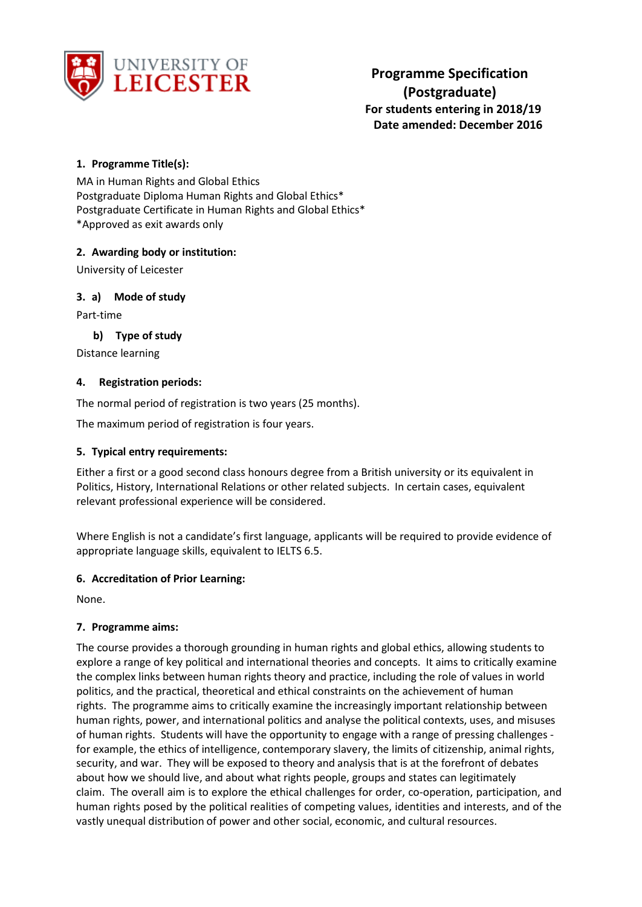

# **1. Programme Title(s):**

MA in Human Rights and Global Ethics Postgraduate Diploma Human Rights and Global Ethics\* Postgraduate Certificate in Human Rights and Global Ethics\* \*Approved as exit awards only

# **2. Awarding body or institution:**

University of Leicester

# **3. a) Mode of study**

Part-time

# **b) Type of study**

Distance learning

### **4. Registration periods:**

The normal period of registration is two years (25 months).

The maximum period of registration is four years.

#### **5. Typical entry requirements:**

Either a first or a good second class honours degree from a British university or its equivalent in Politics, History, International Relations or other related subjects. In certain cases, equivalent relevant professional experience will be considered.

Where English is not a candidate's first language, applicants will be required to provide evidence of appropriate language skills, equivalent to IELTS 6.5.

#### **6. Accreditation of Prior Learning:**

None.

# **7. Programme aims:**

The course provides a thorough grounding in human rights and global ethics, allowing students to explore a range of key political and international theories and concepts. It aims to critically examine the complex links between human rights theory and practice, including the role of values in world politics, and the practical, theoretical and ethical constraints on the achievement of human rights. The programme aims to critically examine the increasingly important relationship between human rights, power, and international politics and analyse the political contexts, uses, and misuses of human rights. Students will have the opportunity to engage with a range of pressing challenges for example, the ethics of intelligence, contemporary slavery, the limits of citizenship, animal rights, security, and war. They will be exposed to theory and analysis that is at the forefront of debates about how we should live, and about what rights people, groups and states can legitimately claim. The overall aim is to explore the ethical challenges for order, co-operation, participation, and human rights posed by the political realities of competing values, identities and interests, and of the vastly unequal distribution of power and other social, economic, and cultural resources.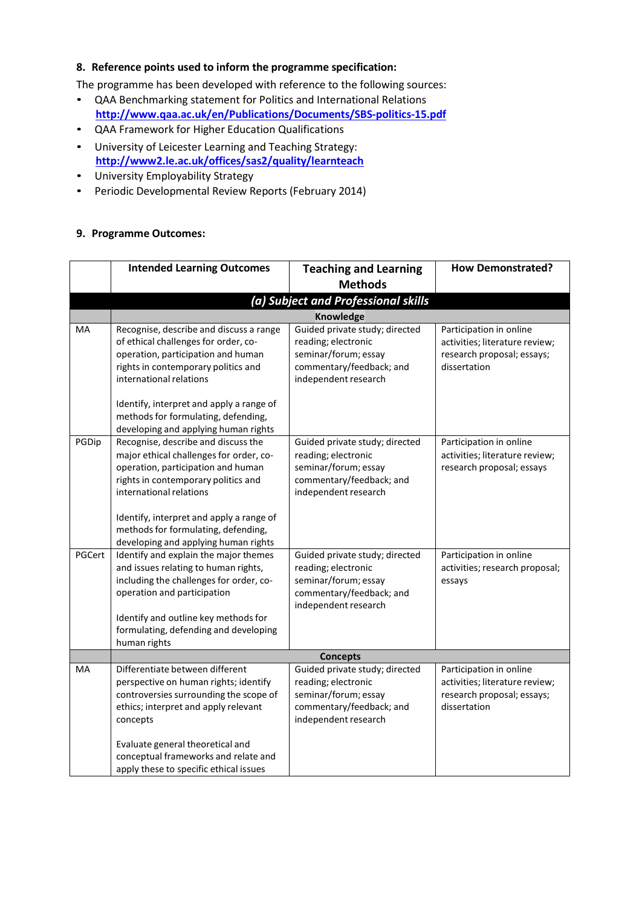#### **8. Reference points used to inform the programme specification:**

The programme has been developed with reference to the following sources:

- QAA Benchmarking statement for Politics and International Relations **<http://www.qaa.ac.uk/en/Publications/Documents/SBS-politics-15.pdf>**
- QAA Framework for Higher Education Qualifications
- University of Leicester Learning and Teaching Strategy: **<http://www2.le.ac.uk/offices/sas2/quality/learnteach>**
- University Employability Strategy
- Periodic Developmental Review Reports (February 2014)

#### **9. Programme Outcomes:**

|        | <b>Intended Learning Outcomes</b>                                                                                                                                                                                                                                                                                                                         | <b>Teaching and Learning</b>                                                                                                      | <b>How Demonstrated?</b>                                                                                |  |
|--------|-----------------------------------------------------------------------------------------------------------------------------------------------------------------------------------------------------------------------------------------------------------------------------------------------------------------------------------------------------------|-----------------------------------------------------------------------------------------------------------------------------------|---------------------------------------------------------------------------------------------------------|--|
|        |                                                                                                                                                                                                                                                                                                                                                           | <b>Methods</b>                                                                                                                    |                                                                                                         |  |
|        |                                                                                                                                                                                                                                                                                                                                                           | (a) Subject and Professional skills                                                                                               |                                                                                                         |  |
|        | <b>Knowledge</b>                                                                                                                                                                                                                                                                                                                                          |                                                                                                                                   |                                                                                                         |  |
| MA     | Recognise, describe and discuss a range<br>of ethical challenges for order, co-<br>operation, participation and human<br>rights in contemporary politics and<br>international relations<br>Identify, interpret and apply a range of<br>methods for formulating, defending,                                                                                | Guided private study; directed<br>reading; electronic<br>seminar/forum; essay<br>commentary/feedback; and<br>independent research | Participation in online<br>activities; literature review;<br>research proposal; essays;<br>dissertation |  |
| PGDip  | developing and applying human rights<br>Recognise, describe and discuss the<br>major ethical challenges for order, co-<br>operation, participation and human<br>rights in contemporary politics and<br>international relations<br>Identify, interpret and apply a range of<br>methods for formulating, defending,<br>developing and applying human rights | Guided private study; directed<br>reading; electronic<br>seminar/forum; essay<br>commentary/feedback; and<br>independent research | Participation in online<br>activities; literature review;<br>research proposal; essays                  |  |
| PGCert | Identify and explain the major themes<br>and issues relating to human rights,<br>including the challenges for order, co-<br>operation and participation<br>Identify and outline key methods for<br>formulating, defending and developing<br>human rights                                                                                                  | Guided private study; directed<br>reading; electronic<br>seminar/forum; essay<br>commentary/feedback; and<br>independent research | Participation in online<br>activities; research proposal;<br>essays                                     |  |
|        |                                                                                                                                                                                                                                                                                                                                                           | <b>Concepts</b>                                                                                                                   |                                                                                                         |  |
| MA     | Differentiate between different<br>perspective on human rights; identify<br>controversies surrounding the scope of<br>ethics; interpret and apply relevant<br>concepts<br>Evaluate general theoretical and<br>conceptual frameworks and relate and<br>apply these to specific ethical issues                                                              | Guided private study; directed<br>reading; electronic<br>seminar/forum; essay<br>commentary/feedback; and<br>independent research | Participation in online<br>activities; literature review;<br>research proposal; essays;<br>dissertation |  |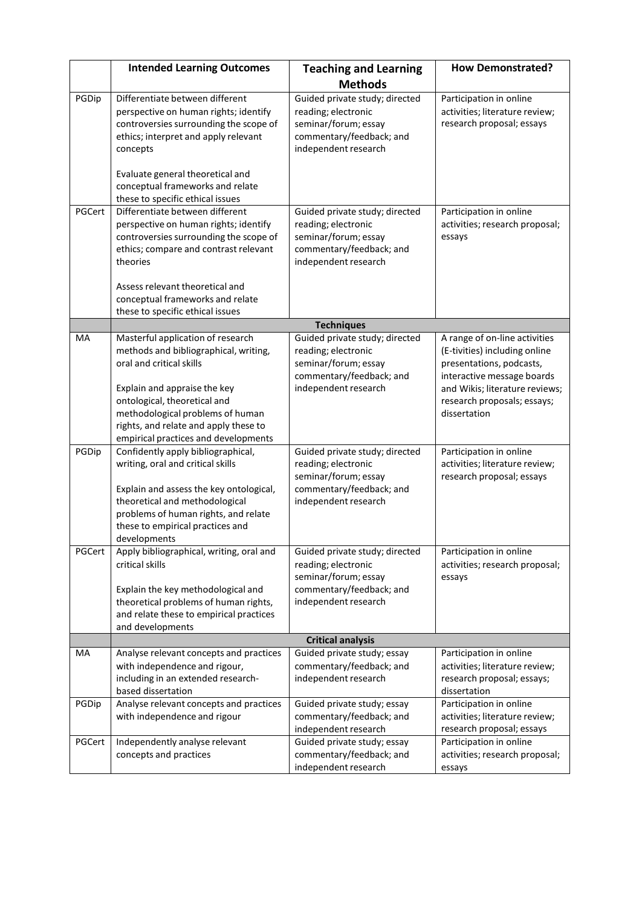|        | <b>Intended Learning Outcomes</b>                                    | <b>Teaching and Learning</b>   | <b>How Demonstrated?</b>                                    |
|--------|----------------------------------------------------------------------|--------------------------------|-------------------------------------------------------------|
|        |                                                                      | <b>Methods</b>                 |                                                             |
|        | Differentiate between different                                      |                                |                                                             |
| PGDip  |                                                                      | Guided private study; directed | Participation in online                                     |
|        | perspective on human rights; identify                                | reading; electronic            | activities; literature review;<br>research proposal; essays |
|        | controversies surrounding the scope of                               | seminar/forum; essay           |                                                             |
|        | ethics; interpret and apply relevant                                 | commentary/feedback; and       |                                                             |
|        | concepts                                                             | independent research           |                                                             |
|        |                                                                      |                                |                                                             |
|        | Evaluate general theoretical and<br>conceptual frameworks and relate |                                |                                                             |
|        | these to specific ethical issues                                     |                                |                                                             |
| PGCert | Differentiate between different                                      | Guided private study; directed | Participation in online                                     |
|        |                                                                      | reading; electronic            | activities; research proposal;                              |
|        | perspective on human rights; identify                                | seminar/forum; essay           |                                                             |
|        | controversies surrounding the scope of                               | commentary/feedback; and       | essays                                                      |
|        | ethics; compare and contrast relevant<br>theories                    | independent research           |                                                             |
|        |                                                                      |                                |                                                             |
|        | Assess relevant theoretical and                                      |                                |                                                             |
|        | conceptual frameworks and relate                                     |                                |                                                             |
|        | these to specific ethical issues                                     |                                |                                                             |
|        |                                                                      | <b>Techniques</b>              |                                                             |
| MA     | Masterful application of research                                    | Guided private study; directed | A range of on-line activities                               |
|        | methods and bibliographical, writing,                                | reading; electronic            | (E-tivities) including online                               |
|        | oral and critical skills                                             | seminar/forum; essay           | presentations, podcasts,                                    |
|        |                                                                      | commentary/feedback; and       | interactive message boards                                  |
|        | Explain and appraise the key                                         | independent research           | and Wikis; literature reviews;                              |
|        | ontological, theoretical and                                         |                                | research proposals; essays;                                 |
|        | methodological problems of human                                     |                                | dissertation                                                |
|        | rights, and relate and apply these to                                |                                |                                                             |
|        | empirical practices and developments                                 |                                |                                                             |
| PGDip  | Confidently apply bibliographical,                                   | Guided private study; directed | Participation in online                                     |
|        | writing, oral and critical skills                                    | reading; electronic            | activities; literature review;                              |
|        |                                                                      | seminar/forum; essay           | research proposal; essays                                   |
|        | Explain and assess the key ontological,                              | commentary/feedback; and       |                                                             |
|        | theoretical and methodological                                       | independent research           |                                                             |
|        | problems of human rights, and relate                                 |                                |                                                             |
|        | these to empirical practices and                                     |                                |                                                             |
|        | developments                                                         |                                |                                                             |
| PGCert | Apply bibliographical, writing, oral and                             | Guided private study; directed | Participation in online                                     |
|        | critical skills                                                      | reading; electronic            | activities; research proposal;                              |
|        |                                                                      | seminar/forum; essay           | essays                                                      |
|        | Explain the key methodological and                                   | commentary/feedback; and       |                                                             |
|        | theoretical problems of human rights,                                | independent research           |                                                             |
|        | and relate these to empirical practices                              |                                |                                                             |
|        | and developments                                                     |                                |                                                             |
|        |                                                                      | <b>Critical analysis</b>       |                                                             |
| MA     | Analyse relevant concepts and practices                              | Guided private study; essay    | Participation in online                                     |
|        | with independence and rigour,                                        | commentary/feedback; and       | activities; literature review;                              |
|        | including in an extended research-                                   | independent research           | research proposal; essays;                                  |
|        | based dissertation                                                   |                                | dissertation                                                |
| PGDip  | Analyse relevant concepts and practices                              | Guided private study; essay    | Participation in online                                     |
|        | with independence and rigour                                         | commentary/feedback; and       | activities; literature review;                              |
|        |                                                                      | independent research           | research proposal; essays                                   |
| PGCert | Independently analyse relevant                                       | Guided private study; essay    | Participation in online                                     |
|        | concepts and practices                                               | commentary/feedback; and       | activities; research proposal;                              |
|        |                                                                      | independent research           | essays                                                      |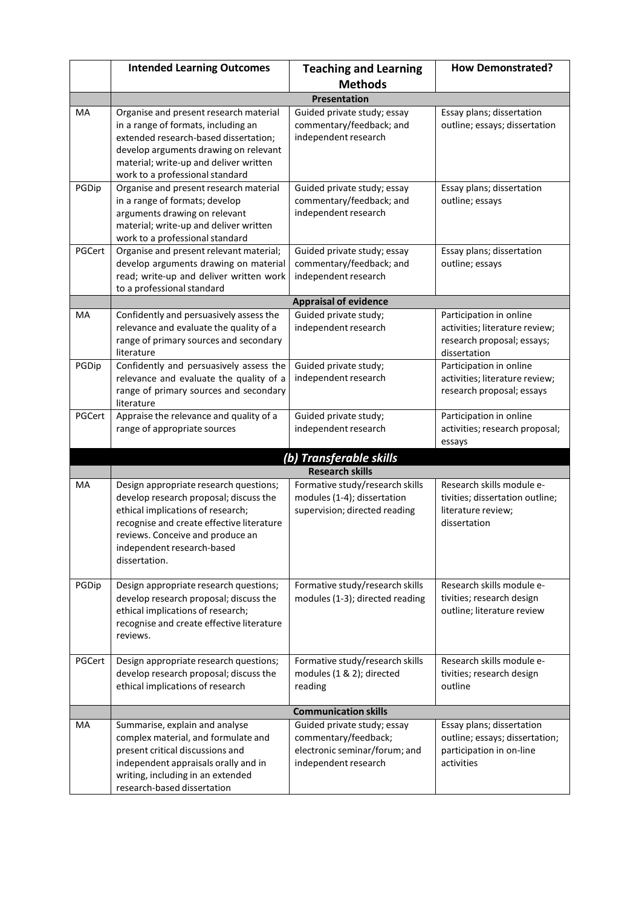|           | <b>Intended Learning Outcomes</b>                                                                                                                                                                                                                     | <b>Teaching and Learning</b>                                                                                 | <b>How Demonstrated?</b>                                                                                |
|-----------|-------------------------------------------------------------------------------------------------------------------------------------------------------------------------------------------------------------------------------------------------------|--------------------------------------------------------------------------------------------------------------|---------------------------------------------------------------------------------------------------------|
|           |                                                                                                                                                                                                                                                       | <b>Methods</b>                                                                                               |                                                                                                         |
|           |                                                                                                                                                                                                                                                       | <b>Presentation</b>                                                                                          |                                                                                                         |
| MA        | Organise and present research material<br>in a range of formats, including an<br>extended research-based dissertation;<br>develop arguments drawing on relevant<br>material; write-up and deliver written<br>work to a professional standard          | Guided private study; essay<br>commentary/feedback; and<br>independent research                              | Essay plans; dissertation<br>outline; essays; dissertation                                              |
| PGDip     | Organise and present research material<br>in a range of formats; develop<br>arguments drawing on relevant<br>material; write-up and deliver written<br>work to a professional standard                                                                | Guided private study; essay<br>commentary/feedback; and<br>independent research                              | Essay plans; dissertation<br>outline; essays                                                            |
| PGCert    | Organise and present relevant material;<br>develop arguments drawing on material<br>read; write-up and deliver written work<br>to a professional standard                                                                                             | Guided private study; essay<br>commentary/feedback; and<br>independent research                              | Essay plans; dissertation<br>outline; essays                                                            |
|           |                                                                                                                                                                                                                                                       | <b>Appraisal of evidence</b>                                                                                 |                                                                                                         |
| МA        | Confidently and persuasively assess the<br>relevance and evaluate the quality of a<br>range of primary sources and secondary<br>literature                                                                                                            | Guided private study;<br>independent research                                                                | Participation in online<br>activities; literature review;<br>research proposal; essays;<br>dissertation |
| PGDip     | Confidently and persuasively assess the<br>relevance and evaluate the quality of a<br>range of primary sources and secondary<br>literature                                                                                                            | Guided private study;<br>independent research                                                                | Participation in online<br>activities; literature review;<br>research proposal; essays                  |
| PGCert    | Appraise the relevance and quality of a<br>range of appropriate sources                                                                                                                                                                               | Guided private study;<br>independent research                                                                | Participation in online<br>activities; research proposal;<br>essays                                     |
|           |                                                                                                                                                                                                                                                       | (b) Transferable skills                                                                                      |                                                                                                         |
|           |                                                                                                                                                                                                                                                       | <b>Research skills</b>                                                                                       |                                                                                                         |
| <b>MA</b> | Design appropriate research questions;<br>develop research proposal; discuss the<br>ethical implications of research;<br>recognise and create effective literature<br>reviews. Conceive and produce an<br>independent research-based<br>dissertation. | Formative study/research skills<br>modules (1-4); dissertation<br>supervision; directed reading              | Research skills module e-<br>tivities; dissertation outline;<br>literature review;<br>dissertation      |
| PGDip     | Design appropriate research questions;<br>develop research proposal; discuss the<br>ethical implications of research;<br>recognise and create effective literature<br>reviews.                                                                        | Formative study/research skills<br>modules (1-3); directed reading                                           | Research skills module e-<br>tivities; research design<br>outline; literature review                    |
| PGCert    | Design appropriate research questions;<br>develop research proposal; discuss the<br>ethical implications of research                                                                                                                                  | Formative study/research skills<br>modules (1 & 2); directed<br>reading                                      | Research skills module e-<br>tivities; research design<br>outline                                       |
|           |                                                                                                                                                                                                                                                       | <b>Communication skills</b>                                                                                  |                                                                                                         |
| МA        | Summarise, explain and analyse<br>complex material, and formulate and<br>present critical discussions and<br>independent appraisals orally and in<br>writing, including in an extended<br>research-based dissertation                                 | Guided private study; essay<br>commentary/feedback;<br>electronic seminar/forum; and<br>independent research | Essay plans; dissertation<br>outline; essays; dissertation;<br>participation in on-line<br>activities   |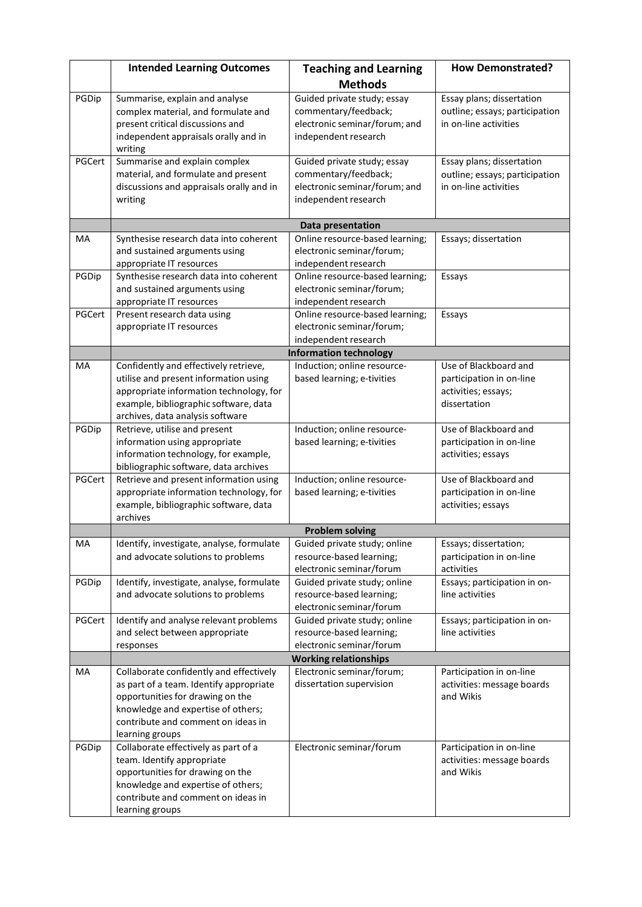|        | <b>Intended Learning Outcomes</b>                                                                                                                                                                                     | <b>Teaching and Learning</b>                                                                                 | <b>How Demonstrated?</b>                                                                 |  |
|--------|-----------------------------------------------------------------------------------------------------------------------------------------------------------------------------------------------------------------------|--------------------------------------------------------------------------------------------------------------|------------------------------------------------------------------------------------------|--|
|        |                                                                                                                                                                                                                       | <b>Methods</b>                                                                                               |                                                                                          |  |
| PGDip  | Summarise, explain and analyse<br>complex material, and formulate and<br>present critical discussions and<br>independent appraisals orally and in                                                                     | Guided private study; essay<br>commentary/feedback;<br>electronic seminar/forum; and<br>independent research | Essay plans; dissertation<br>outline; essays; participation<br>in on-line activities     |  |
|        | writing                                                                                                                                                                                                               |                                                                                                              |                                                                                          |  |
| PGCert | Summarise and explain complex<br>material, and formulate and present<br>discussions and appraisals orally and in<br>writing                                                                                           | Guided private study; essay<br>commentary/feedback;<br>electronic seminar/forum; and<br>independent research | Essay plans; dissertation<br>outline; essays; participation<br>in on-line activities     |  |
|        |                                                                                                                                                                                                                       | Data presentation                                                                                            |                                                                                          |  |
| MA     | Synthesise research data into coherent<br>and sustained arguments using<br>appropriate IT resources                                                                                                                   | Online resource-based learning;<br>electronic seminar/forum;<br>independent research                         | Essays; dissertation                                                                     |  |
| PGDip  | Synthesise research data into coherent<br>and sustained arguments using<br>appropriate IT resources                                                                                                                   | Online resource-based learning;<br>electronic seminar/forum;<br>independent research                         | Essays                                                                                   |  |
| PGCert | Present research data using<br>appropriate IT resources                                                                                                                                                               | Online resource-based learning;<br>electronic seminar/forum;<br>independent research                         | Essays                                                                                   |  |
|        |                                                                                                                                                                                                                       | <b>Information technology</b>                                                                                |                                                                                          |  |
| MA     | Confidently and effectively retrieve,<br>utilise and present information using<br>appropriate information technology, for<br>example, bibliographic software, data<br>archives, data analysis software                | Induction; online resource-<br>based learning; e-tivities                                                    | Use of Blackboard and<br>participation in on-line<br>activities; essays;<br>dissertation |  |
| PGDip  | Retrieve, utilise and present<br>information using appropriate<br>information technology, for example,<br>bibliographic software, data archives                                                                       | Induction; online resource-<br>based learning; e-tivities                                                    | Use of Blackboard and<br>participation in on-line<br>activities; essays                  |  |
| PGCert | Retrieve and present information using<br>appropriate information technology, for<br>example, bibliographic software, data<br>archives                                                                                | Induction; online resource-<br>based learning; e-tivities                                                    | Use of Blackboard and<br>participation in on-line<br>activities; essays                  |  |
|        | <b>Problem solving</b>                                                                                                                                                                                                |                                                                                                              |                                                                                          |  |
| МA     | Identify, investigate, analyse, formulate<br>and advocate solutions to problems                                                                                                                                       | Guided private study; online<br>resource-based learning;<br>electronic seminar/forum                         | Essays; dissertation;<br>participation in on-line<br>activities                          |  |
| PGDip  | Identify, investigate, analyse, formulate<br>and advocate solutions to problems                                                                                                                                       | Guided private study; online<br>resource-based learning;<br>electronic seminar/forum                         | Essays; participation in on-<br>line activities                                          |  |
| PGCert | Identify and analyse relevant problems<br>and select between appropriate<br>responses                                                                                                                                 | Guided private study; online<br>resource-based learning;<br>electronic seminar/forum                         | Essays; participation in on-<br>line activities                                          |  |
|        |                                                                                                                                                                                                                       | <b>Working relationships</b>                                                                                 |                                                                                          |  |
| MA     | Collaborate confidently and effectively<br>as part of a team. Identify appropriate<br>opportunities for drawing on the<br>knowledge and expertise of others;<br>contribute and comment on ideas in<br>learning groups | Electronic seminar/forum;<br>dissertation supervision                                                        | Participation in on-line<br>activities: message boards<br>and Wikis                      |  |
| PGDip  | Collaborate effectively as part of a<br>team. Identify appropriate<br>opportunities for drawing on the<br>knowledge and expertise of others;<br>contribute and comment on ideas in<br>learning groups                 | Electronic seminar/forum                                                                                     | Participation in on-line<br>activities: message boards<br>and Wikis                      |  |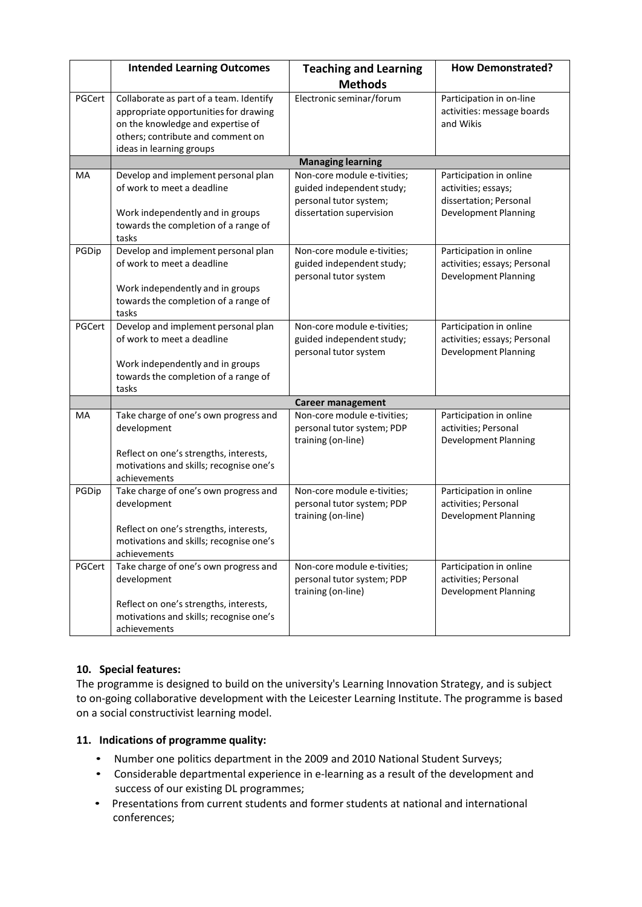|        | <b>Intended Learning Outcomes</b>                                                                                                                                                      | <b>Teaching and Learning</b>                                                                                   | <b>How Demonstrated?</b>                                                                                |
|--------|----------------------------------------------------------------------------------------------------------------------------------------------------------------------------------------|----------------------------------------------------------------------------------------------------------------|---------------------------------------------------------------------------------------------------------|
|        |                                                                                                                                                                                        | <b>Methods</b>                                                                                                 |                                                                                                         |
| PGCert | Collaborate as part of a team. Identify<br>appropriate opportunities for drawing<br>on the knowledge and expertise of<br>others; contribute and comment on<br>ideas in learning groups | Electronic seminar/forum                                                                                       | Participation in on-line<br>activities: message boards<br>and Wikis                                     |
|        |                                                                                                                                                                                        | <b>Managing learning</b>                                                                                       |                                                                                                         |
| MA     | Develop and implement personal plan<br>of work to meet a deadline<br>Work independently and in groups<br>towards the completion of a range of<br>tasks                                 | Non-core module e-tivities;<br>guided independent study;<br>personal tutor system;<br>dissertation supervision | Participation in online<br>activities; essays;<br>dissertation; Personal<br><b>Development Planning</b> |
| PGDip  | Develop and implement personal plan<br>of work to meet a deadline<br>Work independently and in groups<br>towards the completion of a range of<br>tasks                                 | Non-core module e-tivities;<br>guided independent study;<br>personal tutor system                              | Participation in online<br>activities; essays; Personal<br><b>Development Planning</b>                  |
| PGCert | Develop and implement personal plan<br>of work to meet a deadline<br>Work independently and in groups<br>towards the completion of a range of<br>tasks                                 | Non-core module e-tivities;<br>guided independent study;<br>personal tutor system                              | Participation in online<br>activities; essays; Personal<br><b>Development Planning</b>                  |
|        | <b>Career management</b>                                                                                                                                                               |                                                                                                                |                                                                                                         |
| MA     | Take charge of one's own progress and<br>development<br>Reflect on one's strengths, interests,<br>motivations and skills; recognise one's<br>achievements                              | Non-core module e-tivities;<br>personal tutor system; PDP<br>training (on-line)                                | Participation in online<br>activities; Personal<br><b>Development Planning</b>                          |
| PGDip  | Take charge of one's own progress and<br>development<br>Reflect on one's strengths, interests,<br>motivations and skills; recognise one's<br>achievements                              | Non-core module e-tivities;<br>personal tutor system; PDP<br>training (on-line)                                | Participation in online<br>activities; Personal<br><b>Development Planning</b>                          |
| PGCert | Take charge of one's own progress and<br>development<br>Reflect on one's strengths, interests,<br>motivations and skills; recognise one's<br>achievements                              | Non-core module e-tivities;<br>personal tutor system; PDP<br>training (on-line)                                | Participation in online<br>activities; Personal<br><b>Development Planning</b>                          |

# **10. Special features:**

The programme is designed to build on the university's Learning Innovation Strategy, and is subject to on-going collaborative development with the Leicester Learning Institute. The programme is based on a social constructivist learning model.

# **11. Indications of programme quality:**

- Number one politics department in the 2009 and 2010 National Student Surveys;
- Considerable departmental experience in e-learning as a result of the development and success of our existing DL programmes;
- Presentations from current students and former students at national and international conferences;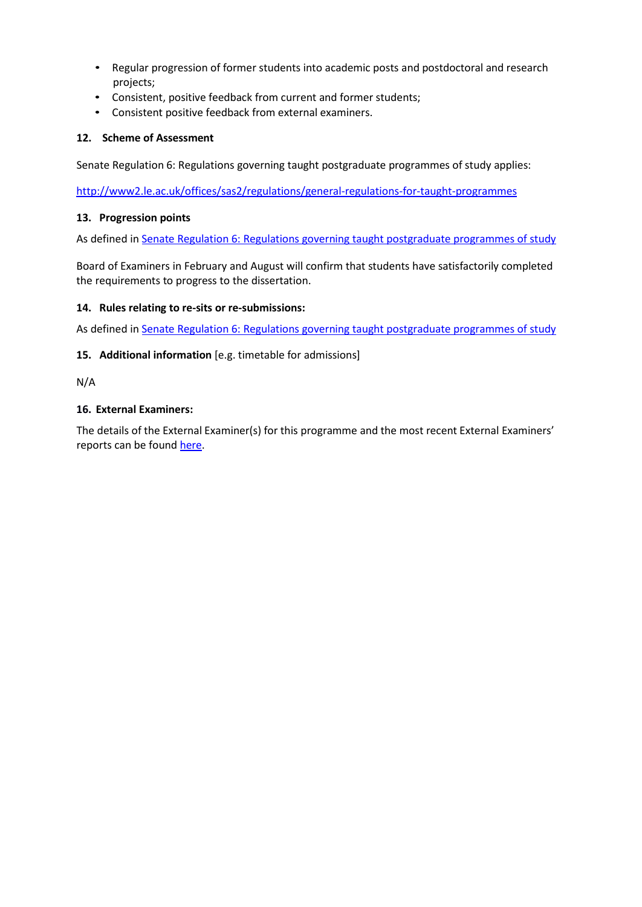- Regular progression of former students into academic posts and postdoctoral and research projects;
- Consistent, positive feedback from current and former students;
- Consistent positive feedback from external examiners.

### **12. Scheme of Assessment**

Senate Regulation 6: Regulations governing taught postgraduate programmes of study applies:

<http://www2.le.ac.uk/offices/sas2/regulations/general-regulations-for-taught-programmes>

#### **13. Progression points**

As defined in Senate Regulation 6: [Regulations governing taught](http://www2.le.ac.uk/offices/sas2/regulations/general-regulations-for-taught-programmes) postgraduate programmes of study

Board of Examiners in February and August will confirm that students have satisfactorily completed the requirements to progress to the dissertation.

### **14. Rules relating to re-sits or re-submissions:**

As defined in Senate Regulation 6: [Regulations governing taught](http://www2.le.ac.uk/offices/sas2/regulations/general-regulations-for-taught-programmes) postgraduate programmes of study

### **15. Additional information** [e.g. timetable for admissions]

N/A

### **16. External Examiners:**

The details of the External Examiner(s) for this programme and the most recent External Examiners' reports can be found [here.](https://exampapers.le.ac.uk/xmlui/handle/123456789/227)